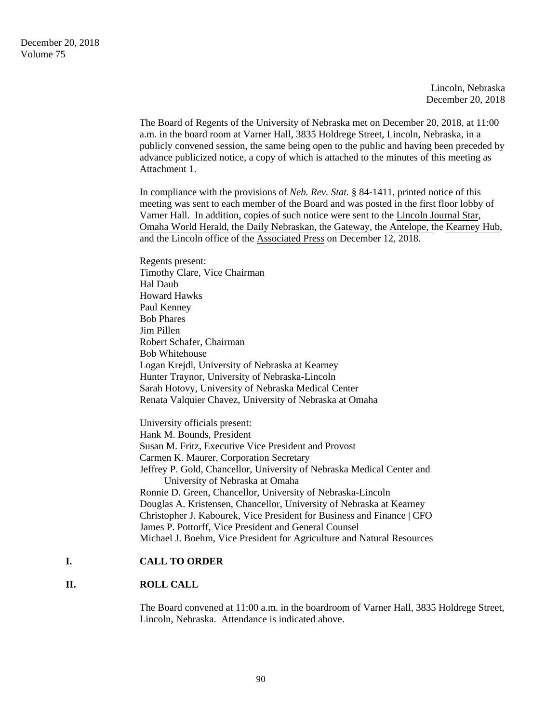Lincoln, Nebraska December 20, 2018

The Board of Regents of the University of Nebraska met on December 20, 2018, at 11:00 a.m. in the board room at Varner Hall, 3835 Holdrege Street, Lincoln, Nebraska, in a publicly convened session, the same being open to the public and having been preceded by advance publicized notice, a copy of which is attached to the minutes of this meeting as Attachment 1.

In compliance with the provisions of *Neb. Rev. Stat.* § 84-1411, printed notice of this meeting was sent to each member of the Board and was posted in the first floor lobby of Varner Hall. In addition, copies of such notice were sent to the Lincoln Journal Star, Omaha World Herald, the Daily Nebraskan, the Gateway, the Antelope, the Kearney Hub, and the Lincoln office of the Associated Press on December 12, 2018.

Regents present: Timothy Clare, Vice Chairman Hal Daub Howard Hawks Paul Kenney Bob Phares Jim Pillen Robert Schafer, Chairman Bob Whitehouse Logan Krejdl, University of Nebraska at Kearney Hunter Traynor, University of Nebraska-Lincoln Sarah Hotovy, University of Nebraska Medical Center Renata Valquier Chavez, University of Nebraska at Omaha

University officials present: Hank M. Bounds, President Susan M. Fritz, Executive Vice President and Provost Carmen K. Maurer, Corporation Secretary Jeffrey P. Gold, Chancellor, University of Nebraska Medical Center and University of Nebraska at Omaha Ronnie D. Green, Chancellor, University of Nebraska-Lincoln Douglas A. Kristensen, Chancellor, University of Nebraska at Kearney Christopher J. Kabourek, Vice President for Business and Finance | CFO James P. Pottorff, Vice President and General Counsel Michael J. Boehm, Vice President for Agriculture and Natural Resources

### **I. CALL TO ORDER**

## **II. ROLL CALL**

The Board convened at 11:00 a.m. in the boardroom of Varner Hall, 3835 Holdrege Street, Lincoln, Nebraska. Attendance is indicated above.